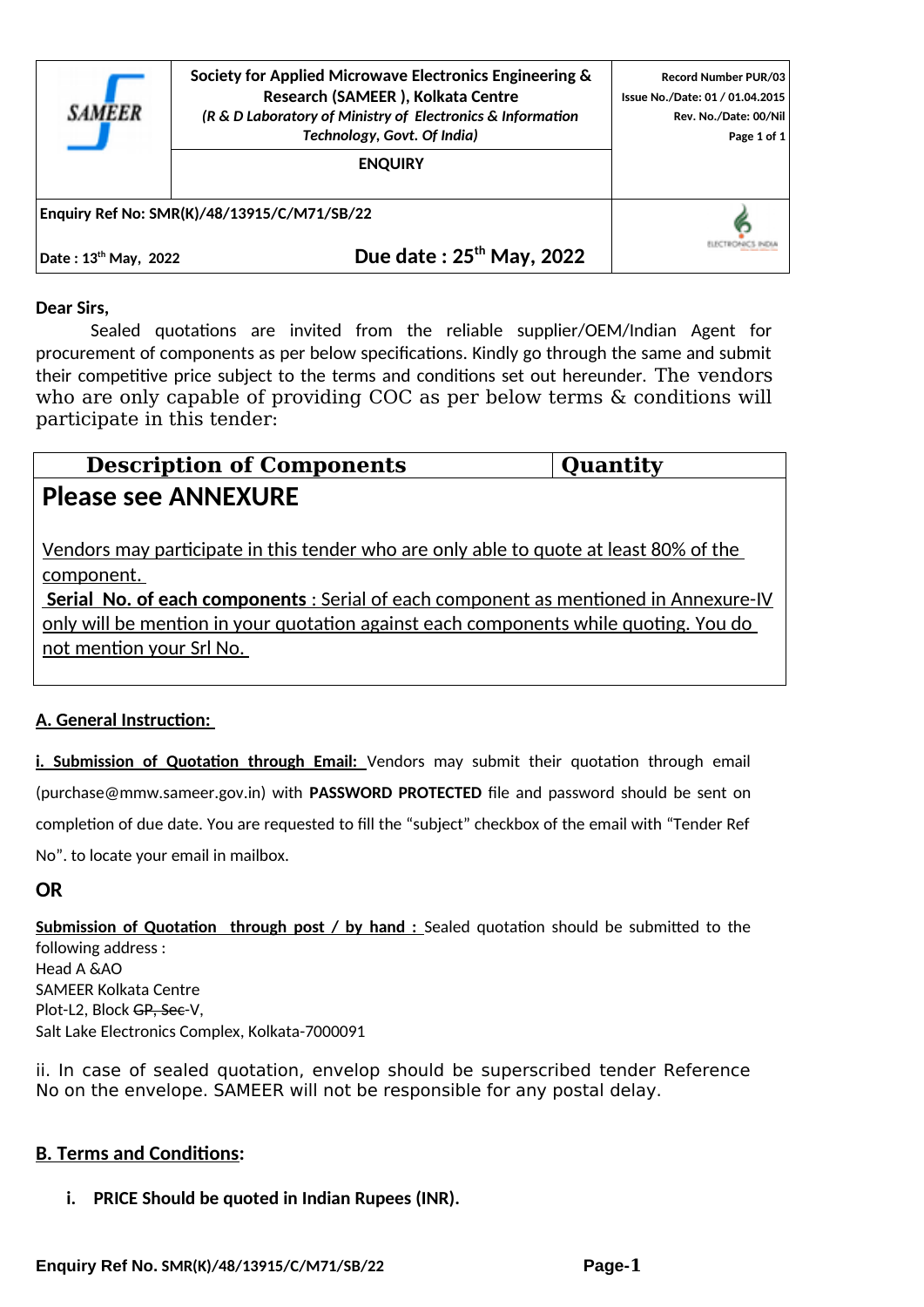

**Society for Applied Microwave Electronics Engineering & Research (SAMEER ), Kolkata Centre** *(R & D Laboratory of Ministry of Electronics & Information Technology, Govt. Of India)*

**ENQUIRY**

**Record Number PUR/03 Issue No./Date: 01 / 01.04.2015 Rev. No./Date: 00/Nil Page 1 of 1**

ELECTRONICS INDIA

**Enquiry Ref No: SMR(K)/48/13915/C/M71/SB/22** 

**Date : 13th May, 2022 Due date : 25th May, 2022**

#### **Dear Sirs,**

Sealed quotations are invited from the reliable supplier/OEM/Indian Agent for procurement of components as per below specifications. Kindly go through the same and submit their competitive price subject to the terms and conditions set out hereunder. The vendors who are only capable of providing COC as per below terms & conditions will participate in this tender:

| <b>Description of Components</b>                                                                         | Quantity |
|----------------------------------------------------------------------------------------------------------|----------|
| <b>Please see ANNEXURE</b>                                                                               |          |
| Vendors may participate in this tender who are only able to quote at least 80% of the                    |          |
| component.<br><b>Serial No. of each components:</b> Serial of each component as mentioned in Annexure-IV |          |
| only will be mention in your quotation against each components while quoting. You do                     |          |
| not mention your Srl No.                                                                                 |          |
|                                                                                                          |          |

#### **A. General Instruction:**

**i. Submission of Quotation through Email:** Vendors may submit their quotation through email (purchase@mmw.sameer.gov.in) with **PASSWORD PROTECTED** file and password should be sent on completion of due date. You are requested to fill the "subject" checkbox of the email with "Tender Ref No". to locate your email in mailbox.

#### **OR**

**Submission of Quotation through post / by hand :** Sealed quotation should be submitted to the following address : Head A &AO SAMEER Kolkata Centre Plot-L2, Block GP, See-V, Salt Lake Electronics Complex, Kolkata-7000091

ii. In case of sealed quotation, envelop should be superscribed tender Reference No on the envelope. SAMEER will not be responsible for any postal delay.

#### **B. Terms and Conditions:**

#### **i. PRICE Should be quoted in Indian Rupees (INR).**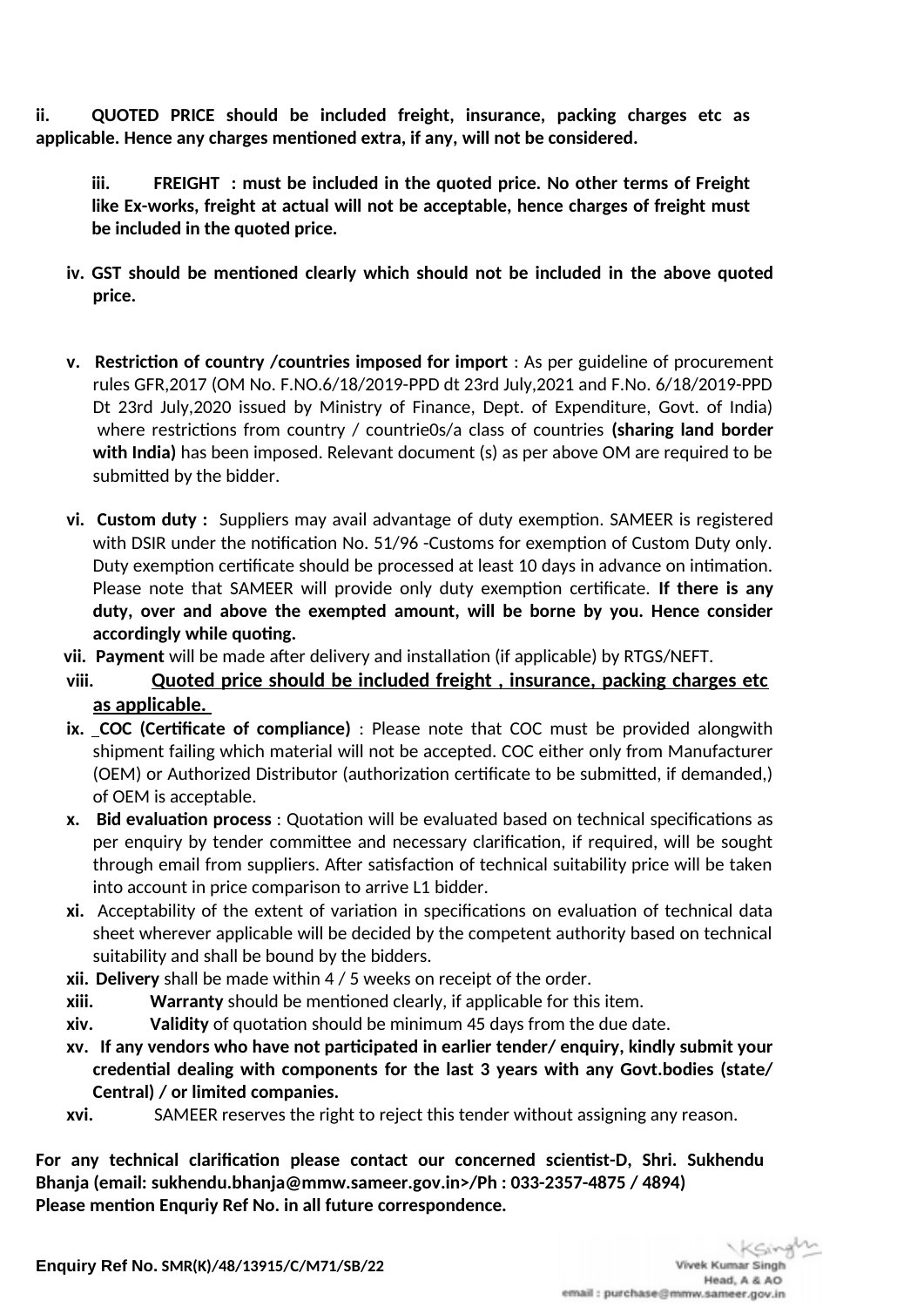**ii. QUOTED PRICE should be included freight, insurance, packing charges etc as applicable. Hence any charges mentioned extra, if any, will not be considered.** 

**iii. FREIGHT : must be included in the quoted price. No other terms of Freight like Ex-works, freight at actual will not be acceptable, hence charges of freight must be included in the quoted price.** 

- **iv. GST should be mentioned clearly which should not be included in the above quoted price.**
- **v. Restriction of country /countries imposed for import** : As per guideline of procurement rules GFR,2017 (OM No. F.NO.6/18/2019-PPD dt 23rd July,2021 and F.No. 6/18/2019-PPD Dt 23rd July,2020 issued by Ministry of Finance, Dept. of Expenditure, Govt. of India) where restrictions from country / countrie0s/a class of countries **(sharing land border with India)** has been imposed. Relevant document (s) as per above OM are required to be submitted by the bidder.
- **vi. Custom duty :** Suppliers may avail advantage of duty exemption. SAMEER is registered with DSIR under the notification No. 51/96 -Customs for exemption of Custom Duty only. Duty exemption certificate should be processed at least 10 days in advance on intimation. Please note that SAMEER will provide only duty exemption certificate. **If there is any duty, over and above the exempted amount, will be borne by you. Hence consider accordingly while quoting.**
- **vii. Payment** will be made after delivery and installation (if applicable) by RTGS/NEFT.
- **viii. Quoted price should be included freight , insurance, packing charges etc as applicable.**
- **ix. COC (Certificate of compliance)** : Please note that COC must be provided alongwith shipment failing which material will not be accepted. COC either only from Manufacturer (OEM) or Authorized Distributor (authorization certificate to be submitted, if demanded,) of OEM is acceptable.
- **x. Bid evaluation process** : Quotation will be evaluated based on technical specifications as per enquiry by tender committee and necessary clarification, if required, will be sought through email from suppliers. After satisfaction of technical suitability price will be taken into account in price comparison to arrive L1 bidder.
- **xi.** Acceptability of the extent of variation in specifications on evaluation of technical data sheet wherever applicable will be decided by the competent authority based on technical suitability and shall be bound by the bidders.
- **xii. Delivery** shall be made within 4 / 5 weeks on receipt of the order.
- **xiii. Warranty** should be mentioned clearly, if applicable for this item.
- **xiv. Validity** of quotation should be minimum 45 days from the due date.
- **xv. If any vendors who have not participated in earlier tender/ enquiry, kindly submit your credential dealing with components for the last 3 years with any Govt.bodies (state/ Central) / or limited companies.**
- **xvi.** SAMEER reserves the right to reject this tender without assigning any reason.

**For any technical clarification please contact our concerned scientist-D, Shri. Sukhendu Bhanja (email: sukhendu.bhanja@mmw.sameer.gov.in>/Ph : 033-2357-4875 / 4894) Please mention Enquriy Ref No. in all future correspondence.**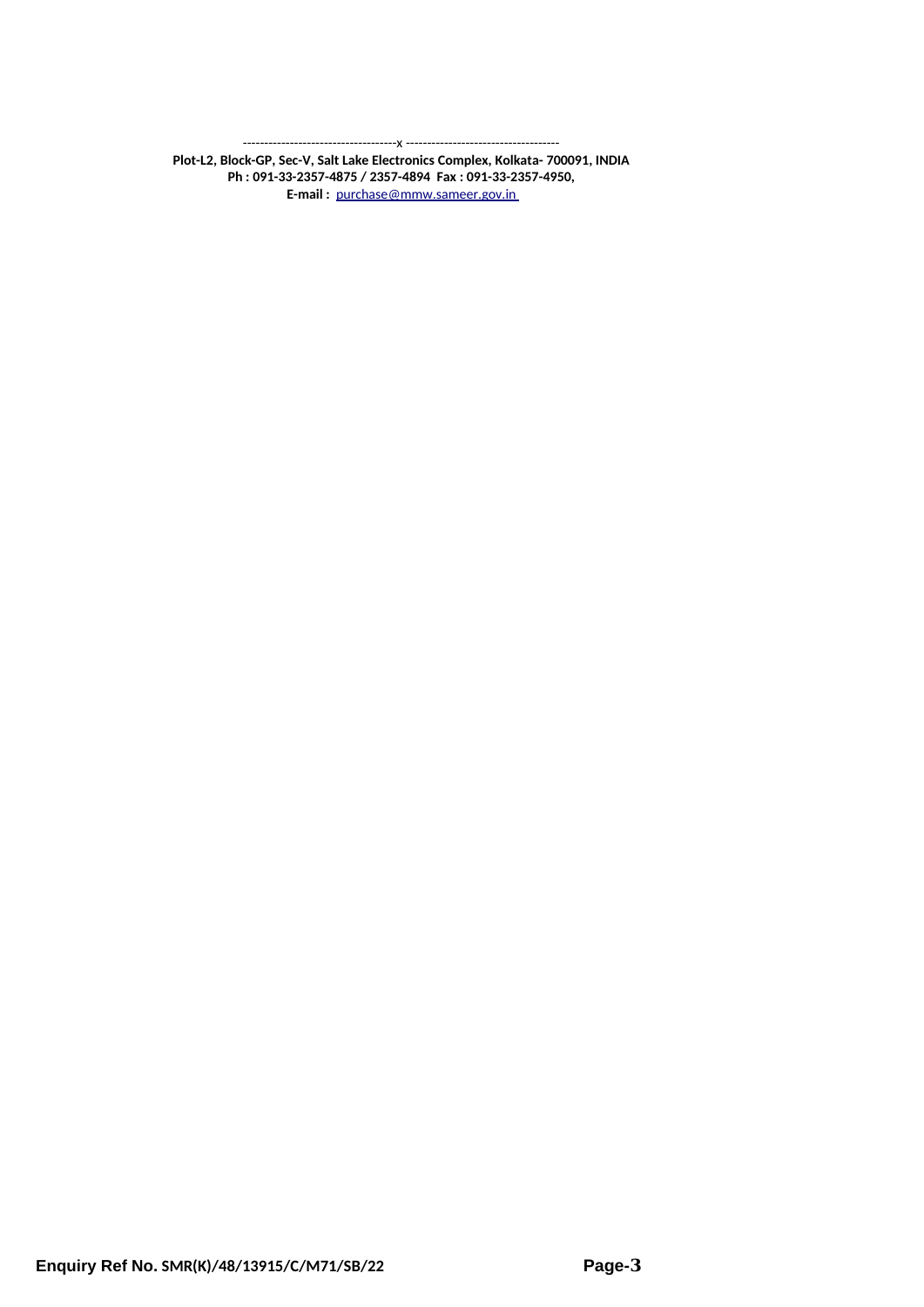------------------------------------x ------------------------------------

**Plot-L2, Block-GP, Sec-V, Salt Lake Electronics Complex, Kolkata- 700091, INDIA Ph : 091-33-2357-4875 / 2357-4894 Fax : 091-33-2357-4950, E-mail :** [purchase@mmw.sameer.gov.in](mailto:purchase@mmw.sameer.gov.in)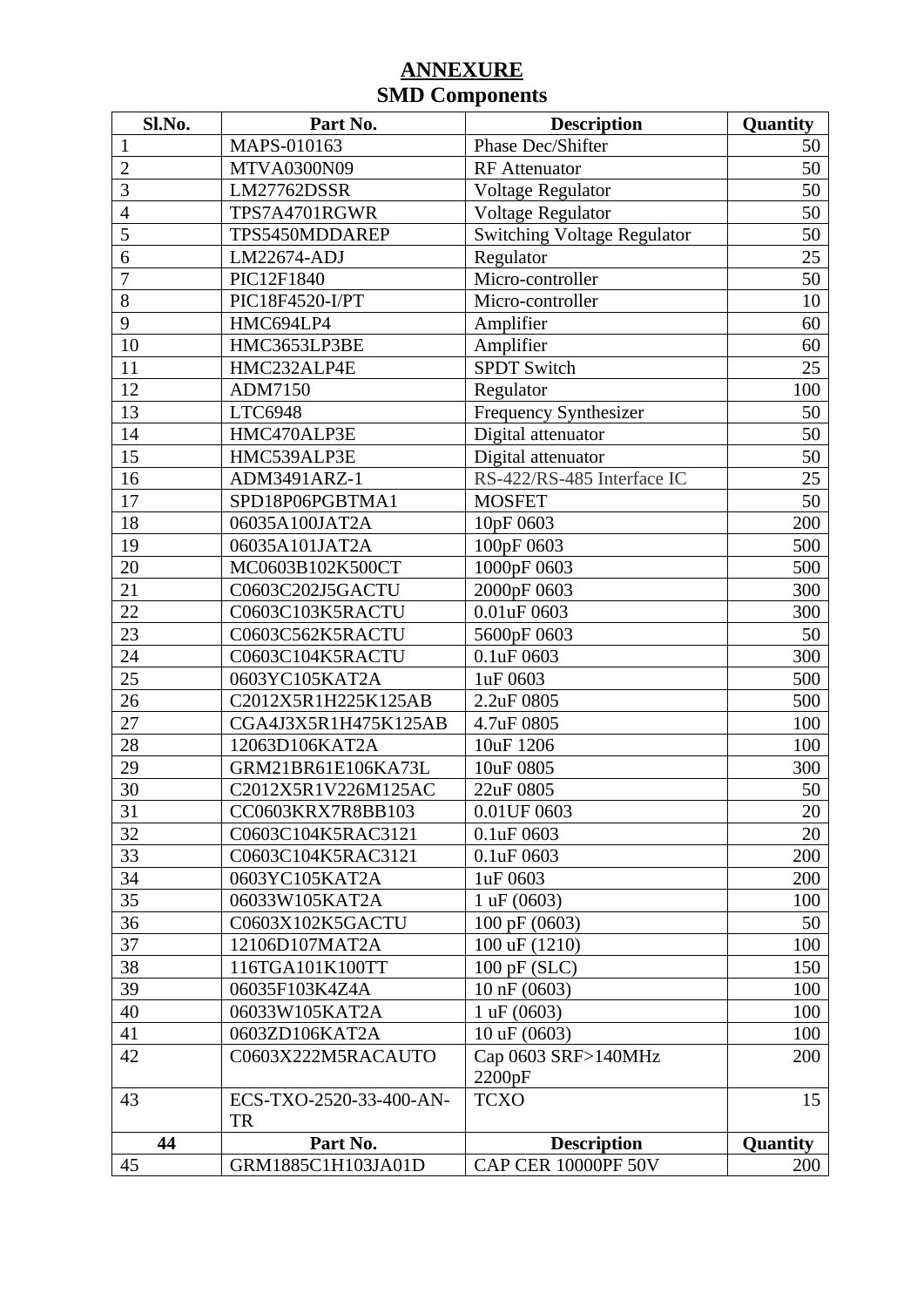| Sl.No.         | Part No.                             | <b>Description</b>                 | Quantity        |
|----------------|--------------------------------------|------------------------------------|-----------------|
| $\mathbf{1}$   | MAPS-010163                          | Phase Dec/Shifter                  | 50              |
| $\overline{2}$ | MTVA0300N09                          | <b>RF</b> Attenuator               | 50              |
| 3              | <b>LM27762DSSR</b>                   | Voltage Regulator                  | 50              |
| $\overline{4}$ | TPS7A4701RGWR                        | Voltage Regulator                  | 50              |
| 5              | TPS5450MDDAREP                       | <b>Switching Voltage Regulator</b> | 50              |
| 6              | LM22674-ADJ                          | Regulator                          | 25              |
| 7              | PIC12F1840                           | Micro-controller                   | 50              |
| 8              | PIC18F4520-I/PT                      | Micro-controller                   | 10              |
| 9              | HMC694LP4                            | Amplifier                          | 60              |
| 10             | HMC3653LP3BE                         | Amplifier                          | 60              |
| 11             | HMC232ALP4E                          | <b>SPDT Switch</b>                 | 25              |
| 12             | ADM7150                              | Regulator                          | 100             |
| 13             | LTC6948                              | <b>Frequency Synthesizer</b>       | 50              |
| 14             | HMC470ALP3E                          | Digital attenuator                 | 50              |
| 15             | HMC539ALP3E                          | Digital attenuator                 | 50              |
| 16             | ADM3491ARZ-1                         | RS-422/RS-485 Interface IC         | 25              |
| 17             | SPD18P06PGBTMA1                      | <b>MOSFET</b>                      | 50              |
| 18             | 06035A100JAT2A                       | 10pF 0603                          | 200             |
| 19             | 06035A101JAT2A                       | 100pF 0603                         | 500             |
| 20             | MC0603B102K500CT                     | 1000pF 0603                        | 500             |
| 21             | C0603C202J5GACTU                     | 2000pF 0603                        | 300             |
| 22             | C0603C103K5RACTU                     | 0.01uF 0603                        | 300             |
| 23             | C0603C562K5RACTU                     | 5600pF 0603                        | 50              |
| 24             | C0603C104K5RACTU                     | 0.1uF 0603                         | 300             |
| 25             | 0603YC105KAT2A                       | 1uF 0603                           | 500             |
| 26             | C2012X5R1H225K125AB                  | 2.2uF 0805                         | 500             |
| 27             | CGA4J3X5R1H475K125AB                 | 4.7uF 0805                         | 100             |
| 28             | 12063D106KAT2A                       | 10uF 1206                          | 100             |
| 29             | GRM21BR61E106KA73L                   | 10uF 0805                          | 300             |
| 30             | C2012X5R1V226M125AC                  | 22uF 0805                          | 50              |
| 31             | CC0603KRX7R8BB103                    | 0.01UF 0603                        | 20              |
| 32             | C0603C104K5RAC3121                   | 0.1uF 0603                         | 20              |
| 33             | C0603C104K5RAC3121                   | 0.1uF 0603                         | 200             |
| 34             | 0603YC105KAT2A                       | 1uF 0603                           | 200             |
| 35             | 06033W105KAT2A                       | 1 uF(0603)                         | 100             |
| 36             | C0603X102K5GACTU                     | 100 pF (0603)                      | 50              |
| 37             | 12106D107MAT2A                       | 100 uF (1210)                      | 100             |
| 38             | 116TGA101K100TT                      | 100 pF (SLC)                       | 150             |
| 39             | 06035F103K4Z4A                       | 10 nF (0603)                       | 100             |
| 40             | 06033W105KAT2A                       | 1 uF(0603)                         | 100             |
| 41             | 0603ZD106KAT2A                       | 10 uF (0603)                       | 100             |
| 42             | C0603X222M5RACAUTO                   | Cap 0603 SRF>140MHz<br>2200pF      | 200             |
| 43             | ECS-TXO-2520-33-400-AN-<br><b>TR</b> | <b>TCXO</b>                        | 15              |
| 44             | Part No.                             | <b>Description</b>                 | <b>Quantity</b> |
| 45             | GRM1885C1H103JA01D                   | CAP CER 10000PF 50V                | 200             |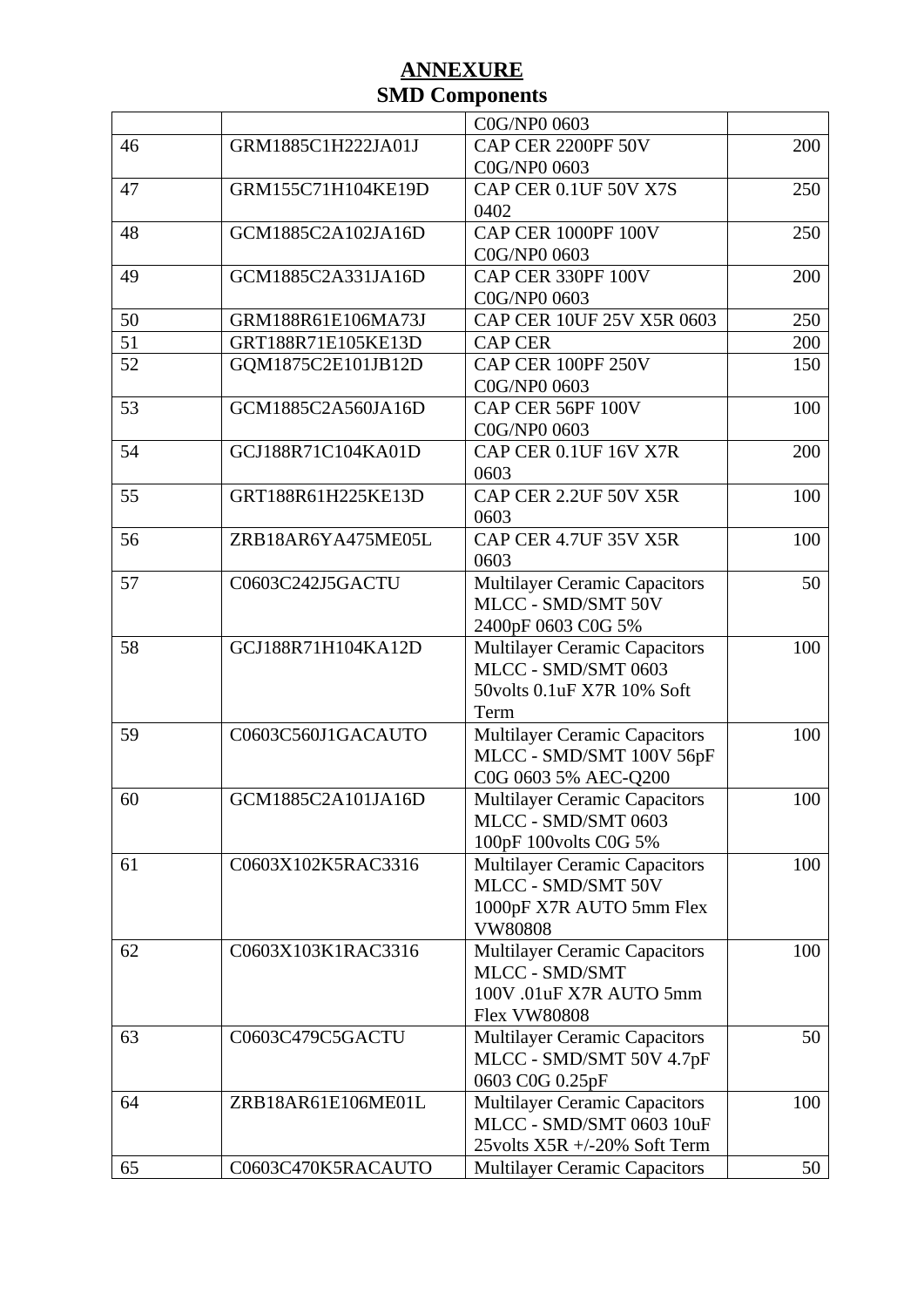|    |                    | C0G/NP0 0603                         |     |
|----|--------------------|--------------------------------------|-----|
| 46 | GRM1885C1H222JA01J | CAP CER 2200PF 50V                   | 200 |
|    |                    | C0G/NP0 0603                         |     |
| 47 | GRM155C71H104KE19D | CAP CER 0.1UF 50V X7S                | 250 |
|    |                    | 0402                                 |     |
| 48 | GCM1885C2A102JA16D | CAP CER 1000PF 100V                  | 250 |
|    |                    | C0G/NP0 0603                         |     |
| 49 | GCM1885C2A331JA16D | CAP CER 330PF 100V                   | 200 |
|    |                    | C0G/NP0 0603                         |     |
| 50 | GRM188R61E106MA73J | CAP CER 10UF 25V X5R 0603            | 250 |
| 51 | GRT188R71E105KE13D | <b>CAP CER</b>                       | 200 |
| 52 | GQM1875C2E101JB12D | CAP CER 100PF 250V                   | 150 |
|    |                    | C0G/NP0 0603                         |     |
| 53 | GCM1885C2A560JA16D | CAP CER 56PF 100V                    | 100 |
|    |                    | C0G/NP0 0603                         |     |
| 54 | GCJ188R71C104KA01D | CAP CER 0.1UF 16V X7R                | 200 |
|    |                    | 0603                                 |     |
| 55 | GRT188R61H225KE13D | CAP CER 2.2UF 50V X5R                | 100 |
|    |                    | 0603                                 |     |
| 56 | ZRB18AR6YA475ME05L | CAP CER 4.7UF 35V X5R                | 100 |
|    |                    | 0603                                 |     |
| 57 | C0603C242J5GACTU   | <b>Multilayer Ceramic Capacitors</b> | 50  |
|    |                    | MLCC - SMD/SMT 50V                   |     |
|    |                    | 2400pF 0603 C0G 5%                   |     |
| 58 | GCJ188R71H104KA12D | <b>Multilayer Ceramic Capacitors</b> | 100 |
|    |                    | MLCC - SMD/SMT 0603                  |     |
|    |                    | 50volts 0.1uF X7R 10% Soft           |     |
|    |                    | Term                                 |     |
| 59 | C0603C560J1GACAUTO | <b>Multilayer Ceramic Capacitors</b> | 100 |
|    |                    | MLCC - SMD/SMT 100V 56pF             |     |
|    |                    | C0G 0603 5% AEC-Q200                 |     |
| 60 | GCM1885C2A101JA16D | <b>Multilayer Ceramic Capacitors</b> | 100 |
|    |                    | MLCC - SMD/SMT 0603                  |     |
|    |                    | 100pF 100volts C0G 5%                |     |
| 61 | C0603X102K5RAC3316 | <b>Multilayer Ceramic Capacitors</b> | 100 |
|    |                    | MLCC - SMD/SMT 50V                   |     |
|    |                    | 1000pF X7R AUTO 5mm Flex             |     |
|    |                    | <b>VW80808</b>                       |     |
| 62 | C0603X103K1RAC3316 | <b>Multilayer Ceramic Capacitors</b> | 100 |
|    |                    | MLCC - SMD/SMT                       |     |
|    |                    | 100V .01uF X7R AUTO 5mm              |     |
|    |                    | <b>Flex VW80808</b>                  |     |
| 63 | C0603C479C5GACTU   | <b>Multilayer Ceramic Capacitors</b> | 50  |
|    |                    | MLCC - SMD/SMT 50V 4.7pF             |     |
|    |                    | 0603 C0G 0.25pF                      |     |
| 64 | ZRB18AR61E106ME01L | <b>Multilayer Ceramic Capacitors</b> | 100 |
|    |                    | MLCC - SMD/SMT 0603 10uF             |     |
|    |                    | 25volts X5R +/-20% Soft Term         |     |
| 65 | C0603C470K5RACAUTO | <b>Multilayer Ceramic Capacitors</b> | 50  |
|    |                    |                                      |     |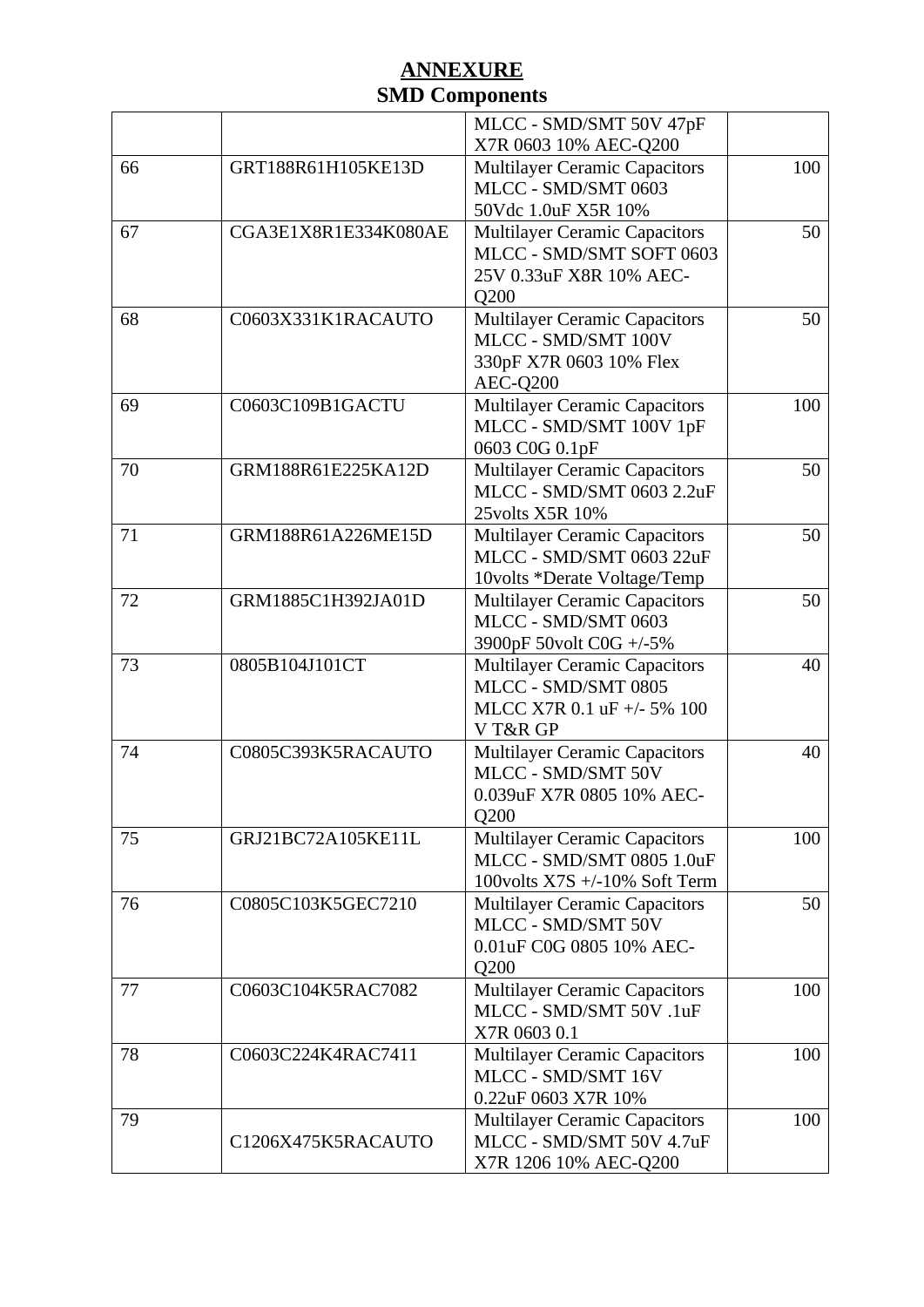|    |                      | MLCC - SMD/SMT 50V 47pF                                    |     |
|----|----------------------|------------------------------------------------------------|-----|
|    |                      | X7R 0603 10% AEC-Q200                                      |     |
| 66 | GRT188R61H105KE13D   | <b>Multilayer Ceramic Capacitors</b>                       | 100 |
|    |                      | MLCC - SMD/SMT 0603                                        |     |
|    |                      | 50Vdc 1.0uF X5R 10%                                        |     |
| 67 | CGA3E1X8R1E334K080AE | <b>Multilayer Ceramic Capacitors</b>                       | 50  |
|    |                      | MLCC - SMD/SMT SOFT 0603                                   |     |
|    |                      | 25V 0.33uF X8R 10% AEC-                                    |     |
|    |                      | Q <sub>200</sub>                                           |     |
| 68 | C0603X331K1RACAUTO   | <b>Multilayer Ceramic Capacitors</b>                       | 50  |
|    |                      | MLCC - SMD/SMT 100V                                        |     |
|    |                      | 330pF X7R 0603 10% Flex                                    |     |
| 69 | C0603C109B1GACTU     | AEC-Q200<br><b>Multilayer Ceramic Capacitors</b>           | 100 |
|    |                      | MLCC - SMD/SMT 100V 1pF                                    |     |
|    |                      | 0603 C0G 0.1pF                                             |     |
| 70 | GRM188R61E225KA12D   | <b>Multilayer Ceramic Capacitors</b>                       | 50  |
|    |                      | MLCC - SMD/SMT 0603 2.2uF                                  |     |
|    |                      | 25volts X5R 10%                                            |     |
| 71 | GRM188R61A226ME15D   | <b>Multilayer Ceramic Capacitors</b>                       | 50  |
|    |                      | MLCC - SMD/SMT 0603 22uF                                   |     |
|    |                      | 10volts *Derate Voltage/Temp                               |     |
| 72 | GRM1885C1H392JA01D   | <b>Multilayer Ceramic Capacitors</b>                       | 50  |
|    |                      | MLCC - SMD/SMT 0603                                        |     |
|    |                      | 3900pF 50volt C0G +/-5%                                    |     |
| 73 | 0805B104J101CT       | <b>Multilayer Ceramic Capacitors</b>                       | 40  |
|    |                      | MLCC - SMD/SMT 0805                                        |     |
|    |                      | MLCC X7R 0.1 uF +/- 5% 100<br>VT&R GP                      |     |
| 74 | C0805C393K5RACAUTO   | <b>Multilayer Ceramic Capacitors</b>                       | 40  |
|    |                      | MLCC - SMD/SMT 50V                                         |     |
|    |                      | 0.039uF X7R 0805 10% AEC-                                  |     |
|    |                      | Q200                                                       |     |
| 75 | GRJ21BC72A105KE11L   | <b>Multilayer Ceramic Capacitors</b>                       | 100 |
|    |                      | MLCC - SMD/SMT 0805 1.0uF                                  |     |
|    |                      | 100volts X7S +/-10% Soft Term                              |     |
| 76 | C0805C103K5GEC7210   | <b>Multilayer Ceramic Capacitors</b>                       | 50  |
|    |                      | MLCC - SMD/SMT 50V                                         |     |
|    |                      | 0.01uF C0G 0805 10% AEC-                                   |     |
|    |                      | Q200                                                       |     |
| 77 | C0603C104K5RAC7082   | <b>Multilayer Ceramic Capacitors</b>                       | 100 |
|    |                      | MLCC - SMD/SMT 50V.1uF                                     |     |
| 78 | C0603C224K4RAC7411   | X7R 0603 0.1                                               | 100 |
|    |                      | <b>Multilayer Ceramic Capacitors</b><br>MLCC - SMD/SMT 16V |     |
|    |                      | 0.22uF 0603 X7R 10%                                        |     |
| 79 |                      | <b>Multilayer Ceramic Capacitors</b>                       | 100 |
|    | C1206X475K5RACAUTO   | MLCC - SMD/SMT 50V 4.7uF                                   |     |
|    |                      | X7R 1206 10% AEC-Q200                                      |     |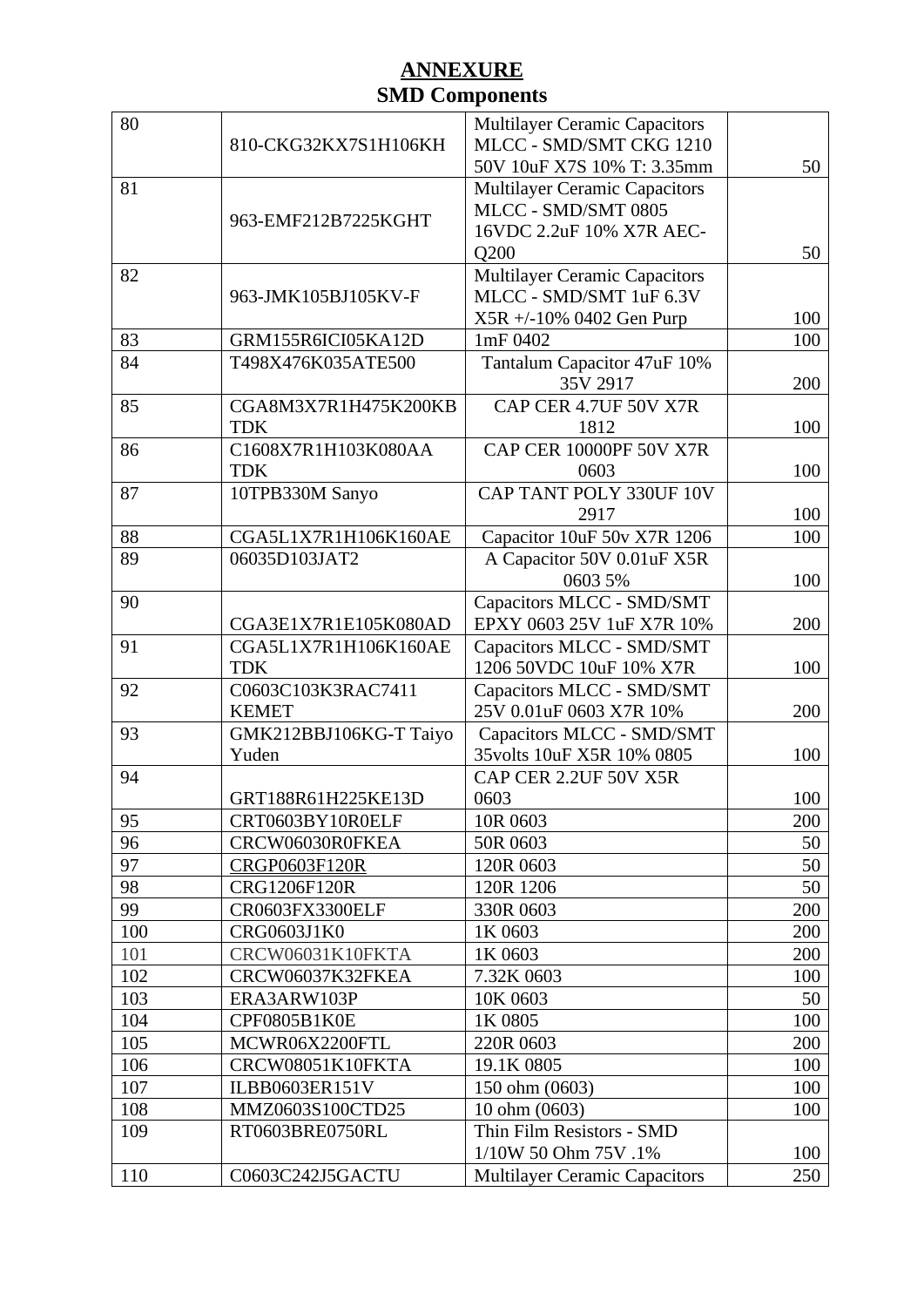| 80         | 810-CKG32KX7S1H106KH               | <b>Multilayer Ceramic Capacitors</b><br>MLCC - SMD/SMT CKG 1210<br>50V 10uF X7S 10% T: 3.35mm   | 50         |
|------------|------------------------------------|-------------------------------------------------------------------------------------------------|------------|
| 81         | 963-EMF212B7225KGHT                | <b>Multilayer Ceramic Capacitors</b><br>MLCC - SMD/SMT 0805<br>16VDC 2.2uF 10% X7R AEC-<br>Q200 | 50         |
| 82         | 963-JMK105BJ105KV-F                | <b>Multilayer Ceramic Capacitors</b><br>MLCC - SMD/SMT 1uF 6.3V<br>X5R +/-10% 0402 Gen Purp     | 100        |
| 83         | GRM155R6ICI05KA12D                 | 1mF 0402                                                                                        | 100        |
| 84         | T498X476K035ATE500                 | Tantalum Capacitor 47uF 10%<br>35V 2917                                                         | 200        |
| 85         | CGA8M3X7R1H475K200KB<br><b>TDK</b> | CAP CER 4.7UF 50V X7R<br>1812                                                                   | 100        |
| 86         | C1608X7R1H103K080AA<br><b>TDK</b>  | CAP CER 10000PF 50V X7R<br>0603                                                                 | 100        |
| 87         | 10TPB330M Sanyo                    | CAP TANT POLY 330UF 10V<br>2917                                                                 | 100        |
| 88         | CGA5L1X7R1H106K160AE               | Capacitor 10uF 50v X7R 1206                                                                     | 100        |
| 89         | 06035D103JAT2                      | A Capacitor 50V 0.01uF X5R<br>0603 5%                                                           | 100        |
| 90         | CGA3E1X7R1E105K080AD               | Capacitors MLCC - SMD/SMT<br>EPXY 0603 25V 1uF X7R 10%                                          | 200        |
| 91         | CGA5L1X7R1H106K160AE<br><b>TDK</b> | Capacitors MLCC - SMD/SMT<br>1206 50VDC 10uF 10% X7R                                            | 100        |
| 92         | C0603C103K3RAC7411<br><b>KEMET</b> | Capacitors MLCC - SMD/SMT<br>25V 0.01uF 0603 X7R 10%                                            | 200        |
| 93         | GMK212BBJ106KG-T Taiyo<br>Yuden    | Capacitors MLCC - SMD/SMT<br>35volts 10uF X5R 10% 0805                                          | 100        |
| 94         |                                    | CAP CER 2.2UF 50V X5R                                                                           |            |
|            | GRT188R61H225KE13D                 | 0603                                                                                            | 100        |
| 95         | CRT0603BY10R0ELF                   | 10R 0603                                                                                        | 200        |
| 96         | CRCW06030R0FKEA                    | 50R 0603                                                                                        | 50         |
| 97         | CRGP0603F120R                      | 120R 0603                                                                                       | 50         |
| 98         | CRG1206F120R                       | 120R 1206                                                                                       | 50         |
| 99         | CR0603FX3300ELF                    | 330R 0603                                                                                       | 200        |
| 100        | CRG0603J1K0                        | 1K 0603                                                                                         | 200        |
| 101        | CRCW06031K10FKTA                   | 1K 0603                                                                                         | 200        |
| 102        | CRCW06037K32FKEA                   | 7.32K 0603                                                                                      | 100        |
| 103        | ERA3ARW103P                        | 10K 0603                                                                                        | 50         |
| 104<br>105 | CPF0805B1K0E                       | 1K 0805                                                                                         | 100<br>200 |
| 106        | MCWR06X2200FTL<br>CRCW08051K10FKTA | 220R 0603<br>19.1K 0805                                                                         | 100        |
| 107        | ILBB0603ER151V                     | 150 ohm (0603)                                                                                  | 100        |
| 108        | MMZ0603S100CTD25                   | 10 ohm (0603)                                                                                   | 100        |
| 109        | RT0603BRE0750RL                    | Thin Film Resistors - SMD                                                                       |            |
|            |                                    | 1/10W 50 Ohm 75V .1%                                                                            | 100        |
| 110        | C0603C242J5GACTU                   | <b>Multilayer Ceramic Capacitors</b>                                                            | 250        |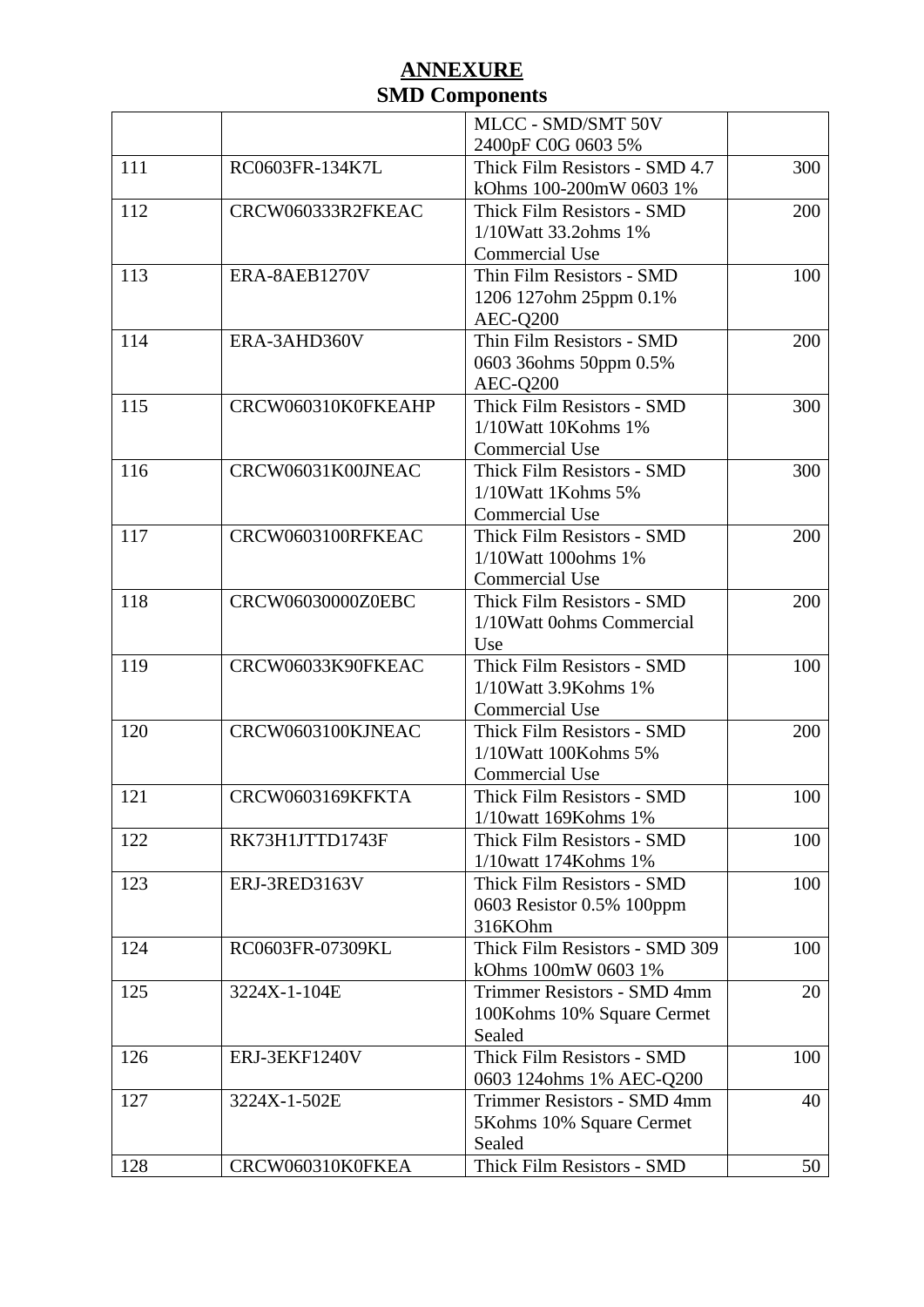|     |                    | MLCC - SMD/SMT 50V             |     |
|-----|--------------------|--------------------------------|-----|
|     |                    | 2400pF C0G 0603 5%             |     |
| 111 | RC0603FR-134K7L    | Thick Film Resistors - SMD 4.7 | 300 |
|     |                    | kOhms 100-200mW 0603 1%        |     |
| 112 | CRCW060333R2FKEAC  | Thick Film Resistors - SMD     | 200 |
|     |                    | 1/10Watt 33.2ohms 1%           |     |
|     |                    | <b>Commercial Use</b>          |     |
| 113 | ERA-8AEB1270V      | Thin Film Resistors - SMD      | 100 |
|     |                    | 1206 127ohm 25ppm 0.1%         |     |
|     |                    | AEC-Q200                       |     |
| 114 | ERA-3AHD360V       | Thin Film Resistors - SMD      | 200 |
|     |                    | 0603 36ohms 50ppm 0.5%         |     |
|     |                    | AEC-Q200                       |     |
| 115 | CRCW060310K0FKEAHP | Thick Film Resistors - SMD     | 300 |
|     |                    | 1/10Watt 10Kohms 1%            |     |
|     |                    | <b>Commercial Use</b>          |     |
| 116 | CRCW06031K00JNEAC  | Thick Film Resistors - SMD     | 300 |
|     |                    | 1/10Watt 1Kohms 5%             |     |
|     |                    | <b>Commercial Use</b>          |     |
| 117 | CRCW0603100RFKEAC  | Thick Film Resistors - SMD     | 200 |
|     |                    | 1/10Watt 100ohms 1%            |     |
|     |                    | <b>Commercial Use</b>          |     |
| 118 | CRCW06030000Z0EBC  | Thick Film Resistors - SMD     | 200 |
|     |                    | 1/10Watt 0ohms Commercial      |     |
|     |                    | Use                            |     |
| 119 | CRCW06033K90FKEAC  | Thick Film Resistors - SMD     | 100 |
|     |                    | 1/10Watt 3.9Kohms 1%           |     |
|     |                    | Commercial Use                 |     |
| 120 | CRCW0603100KJNEAC  | Thick Film Resistors - SMD     | 200 |
|     |                    | 1/10Watt 100Kohms 5%           |     |
|     |                    | <b>Commercial Use</b>          |     |
| 121 | CRCW0603169KFKTA   | Thick Film Resistors - SMD     | 100 |
|     |                    | 1/10watt 169Kohms 1%           |     |
| 122 | RK73H1JTTD1743F    | Thick Film Resistors - SMD     | 100 |
|     |                    | 1/10watt 174Kohms 1%           |     |
| 123 | ERJ-3RED3163V      | Thick Film Resistors - SMD     | 100 |
|     |                    | 0603 Resistor 0.5% 100ppm      |     |
|     |                    | 316KOhm                        |     |
| 124 | RC0603FR-07309KL   | Thick Film Resistors - SMD 309 | 100 |
|     |                    | kOhms 100mW 0603 1%            |     |
| 125 | 3224X-1-104E       | Trimmer Resistors - SMD 4mm    | 20  |
|     |                    | 100Kohms 10% Square Cermet     |     |
|     |                    | Sealed                         |     |
| 126 | ERJ-3EKF1240V      | Thick Film Resistors - SMD     | 100 |
|     |                    | 0603 124ohms 1% AEC-Q200       |     |
| 127 | 3224X-1-502E       | Trimmer Resistors - SMD 4mm    | 40  |
|     |                    | 5Kohms 10% Square Cermet       |     |
|     |                    | Sealed                         |     |
| 128 | CRCW060310K0FKEA   | Thick Film Resistors - SMD     | 50  |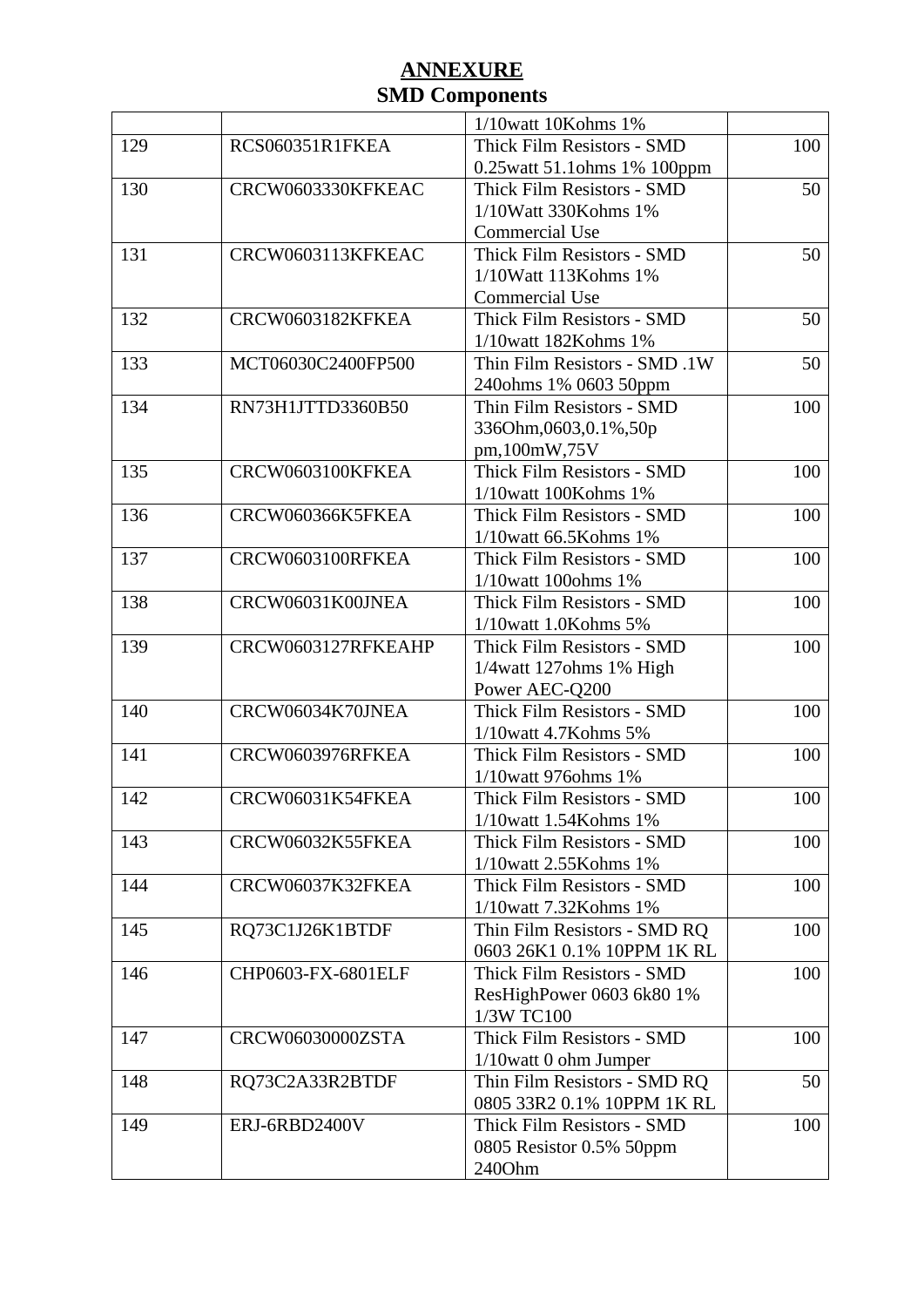|     |                    | 1/10watt 10Kohms 1%           |     |
|-----|--------------------|-------------------------------|-----|
| 129 | RCS060351R1FKEA    | Thick Film Resistors - SMD    | 100 |
|     |                    | 0.25watt 51.1ohms 1% 100ppm   |     |
| 130 | CRCW0603330KFKEAC  | Thick Film Resistors - SMD    | 50  |
|     |                    | 1/10Watt 330Kohms 1%          |     |
|     |                    | <b>Commercial Use</b>         |     |
| 131 | CRCW0603113KFKEAC  | Thick Film Resistors - SMD    | 50  |
|     |                    | 1/10Watt 113Kohms 1%          |     |
|     |                    | <b>Commercial Use</b>         |     |
| 132 | CRCW0603182KFKEA   | Thick Film Resistors - SMD    | 50  |
|     |                    | 1/10watt 182Kohms 1%          |     |
| 133 | MCT06030C2400FP500 | Thin Film Resistors - SMD .1W | 50  |
|     |                    |                               |     |
|     | RN73H1JTTD3360B50  | 240ohms 1% 0603 50ppm         |     |
| 134 |                    | Thin Film Resistors - SMD     | 100 |
|     |                    | 336Ohm,0603,0.1%,50p          |     |
|     |                    | pm,100mW,75V                  |     |
| 135 | CRCW0603100KFKEA   | Thick Film Resistors - SMD    | 100 |
|     |                    | 1/10watt 100Kohms 1%          |     |
| 136 | CRCW060366K5FKEA   | Thick Film Resistors - SMD    | 100 |
|     |                    | 1/10watt 66.5Kohms 1%         |     |
| 137 | CRCW0603100RFKEA   | Thick Film Resistors - SMD    | 100 |
|     |                    | 1/10watt 100ohms 1%           |     |
| 138 | CRCW06031K00JNEA   | Thick Film Resistors - SMD    | 100 |
|     |                    | 1/10watt 1.0Kohms 5%          |     |
| 139 | CRCW0603127RFKEAHP | Thick Film Resistors - SMD    | 100 |
|     |                    | 1/4watt 127ohms 1% High       |     |
|     |                    | Power AEC-Q200                |     |
| 140 | CRCW06034K70JNEA   | Thick Film Resistors - SMD    | 100 |
|     |                    | 1/10watt 4.7Kohms 5%          |     |
| 141 | CRCW0603976RFKEA   | Thick Film Resistors - SMD    | 100 |
|     |                    | 1/10watt 976ohms 1%           |     |
| 142 | CRCW06031K54FKEA   | Thick Film Resistors - SMD    | 100 |
|     |                    | 1/10watt 1.54Kohms 1%         |     |
| 143 | CRCW06032K55FKEA   | Thick Film Resistors - SMD    | 100 |
|     |                    | 1/10watt 2.55Kohms 1%         |     |
| 144 | CRCW06037K32FKEA   | Thick Film Resistors - SMD    | 100 |
|     |                    | 1/10watt 7.32Kohms 1%         |     |
| 145 | RQ73C1J26K1BTDF    | Thin Film Resistors - SMD RQ  | 100 |
|     |                    | 0603 26K1 0.1% 10PPM 1K RL    |     |
| 146 | CHP0603-FX-6801ELF | Thick Film Resistors - SMD    | 100 |
|     |                    | ResHighPower 0603 6k80 1%     |     |
|     |                    | 1/3W TC100                    |     |
| 147 | CRCW06030000ZSTA   | Thick Film Resistors - SMD    | 100 |
|     |                    | 1/10watt 0 ohm Jumper         |     |
| 148 | RQ73C2A33R2BTDF    | Thin Film Resistors - SMD RQ  | 50  |
|     |                    | 0805 33R2 0.1% 10PPM 1K RL    |     |
| 149 | ERJ-6RBD2400V      | Thick Film Resistors - SMD    | 100 |
|     |                    | 0805 Resistor 0.5% 50ppm      |     |
|     |                    | 240Ohm                        |     |
|     |                    |                               |     |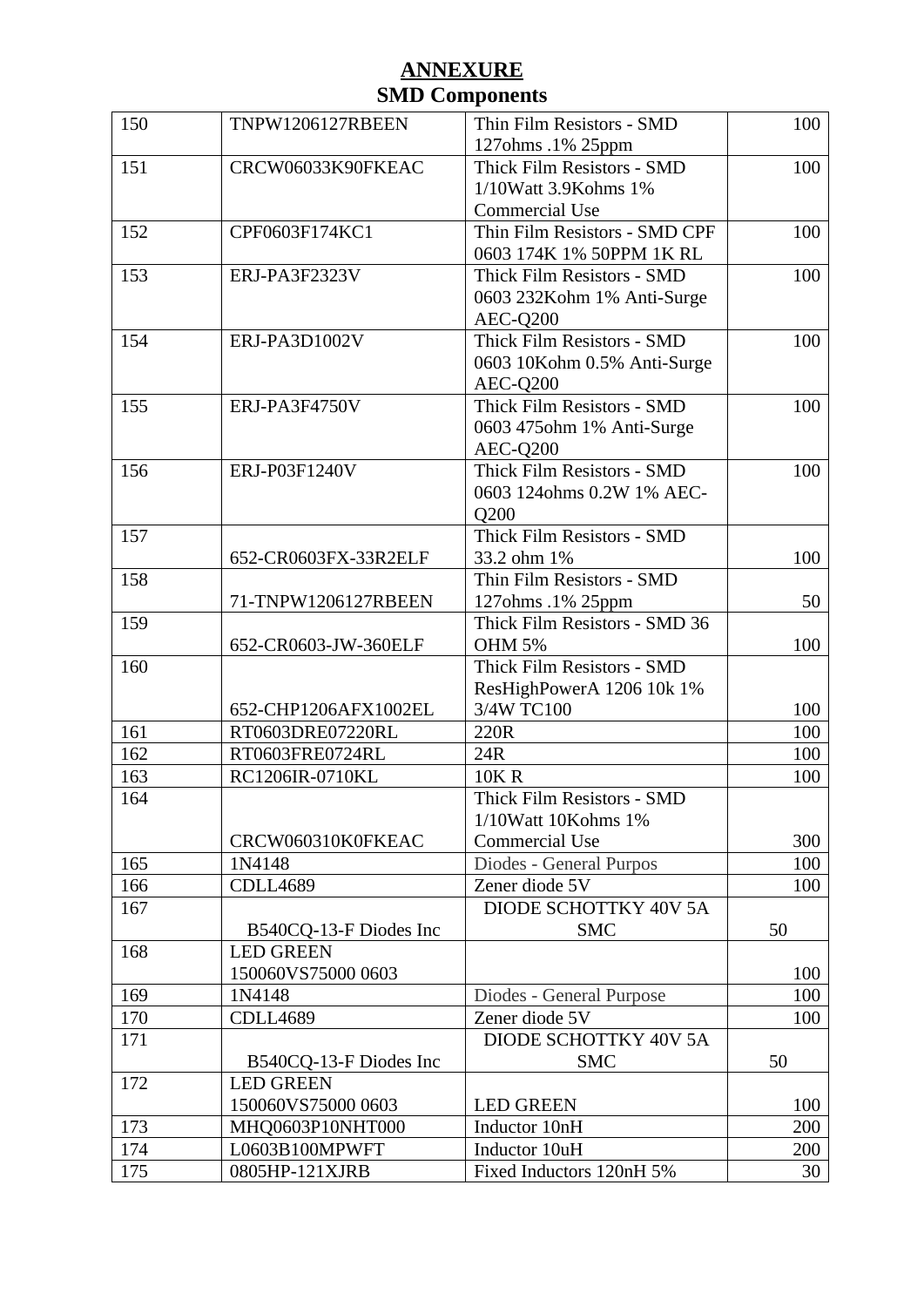| 150 | TNPW1206127RBEEN       | Thin Film Resistors - SMD     | 100 |
|-----|------------------------|-------------------------------|-----|
|     |                        | 127ohms .1% 25ppm             |     |
| 151 | CRCW06033K90FKEAC      | Thick Film Resistors - SMD    | 100 |
|     |                        | 1/10Watt 3.9Kohms 1%          |     |
|     |                        | Commercial Use                |     |
| 152 | CPF0603F174KC1         | Thin Film Resistors - SMD CPF | 100 |
|     |                        | 0603 174K 1% 50PPM 1K RL      |     |
| 153 | ERJ-PA3F2323V          | Thick Film Resistors - SMD    | 100 |
|     |                        | 0603 232Kohm 1% Anti-Surge    |     |
|     |                        | AEC-Q200                      |     |
| 154 | ERJ-PA3D1002V          | Thick Film Resistors - SMD    | 100 |
|     |                        | 0603 10Kohm 0.5% Anti-Surge   |     |
|     |                        | AEC-Q200                      |     |
| 155 | ERJ-PA3F4750V          | Thick Film Resistors - SMD    | 100 |
|     |                        | 0603 475ohm 1% Anti-Surge     |     |
|     |                        | AEC-Q200                      |     |
| 156 | ERJ-P03F1240V          | Thick Film Resistors - SMD    | 100 |
|     |                        | 0603 124ohms 0.2W 1% AEC-     |     |
|     |                        | Q200                          |     |
| 157 |                        | Thick Film Resistors - SMD    |     |
|     | 652-CR0603FX-33R2ELF   | 33.2 ohm 1%                   | 100 |
| 158 |                        | Thin Film Resistors - SMD     |     |
|     | 71-TNPW1206127RBEEN    | 127ohms .1% 25ppm             | 50  |
| 159 |                        | Thick Film Resistors - SMD 36 |     |
|     | 652-CR0603-JW-360ELF   | <b>OHM 5%</b>                 | 100 |
| 160 |                        | Thick Film Resistors - SMD    |     |
|     |                        | ResHighPowerA 1206 10k 1%     |     |
|     | 652-CHP1206AFX1002EL   | 3/4W TC100                    | 100 |
| 161 | RT0603DRE07220RL       | 220R                          | 100 |
| 162 | RT0603FRE0724RL        | 24R                           | 100 |
| 163 | RC1206IR-0710KL        | <b>10K R</b>                  | 100 |
| 164 |                        | Thick Film Resistors - SMD    |     |
|     |                        | 1/10Watt 10Kohms 1%           |     |
|     | CRCW060310K0FKEAC      | <b>Commercial Use</b>         | 300 |
| 165 | 1N4148                 | Diodes - General Purpos       | 100 |
| 166 | <b>CDLL4689</b>        | Zener diode 5V                | 100 |
| 167 |                        | DIODE SCHOTTKY 40V 5A         |     |
|     | B540CQ-13-F Diodes Inc | <b>SMC</b>                    | 50  |
| 168 | <b>LED GREEN</b>       |                               |     |
|     | 150060VS75000 0603     |                               | 100 |
| 169 | 1N4148                 | Diodes - General Purpose      | 100 |
| 170 | <b>CDLL4689</b>        | Zener diode 5V                | 100 |
| 171 |                        | DIODE SCHOTTKY 40V 5A         |     |
|     | B540CQ-13-F Diodes Inc | <b>SMC</b>                    | 50  |
| 172 | <b>LED GREEN</b>       |                               |     |
|     | 150060VS75000 0603     | <b>LED GREEN</b>              | 100 |
| 173 | MHQ0603P10NHT000       | Inductor 10nH                 | 200 |
| 174 | L0603B100MPWFT         | Inductor 10uH                 | 200 |
| 175 | 0805HP-121XJRB         | Fixed Inductors 120nH 5%      | 30  |